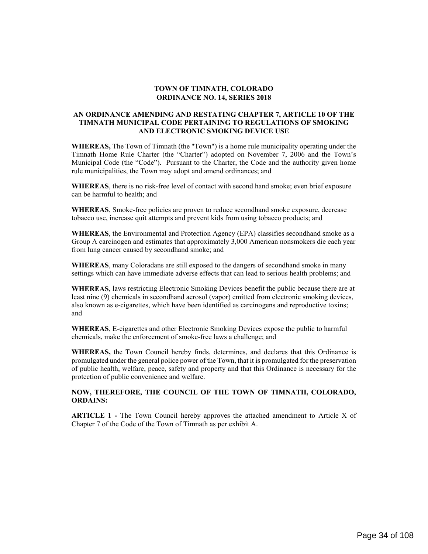## **TOWN OF TIMNATH, COLORADO ORDINANCE NO. 14, SERIES 2018**

## **AN ORDINANCE AMENDING AND RESTATING CHAPTER 7, ARTICLE 10 OF THE TIMNATH MUNICIPAL CODE PERTAINING TO REGULATIONS OF SMOKING AND ELECTRONIC SMOKING DEVICE USE**

**WHEREAS,** The Town of Timnath (the "Town") is a home rule municipality operating under the Timnath Home Rule Charter (the "Charter") adopted on November 7, 2006 and the Town's Municipal Code (the "Code"). Pursuant to the Charter, the Code and the authority given home rule municipalities, the Town may adopt and amend ordinances; and

**WHEREAS**, there is no risk-free level of contact with second hand smoke; even brief exposure can be harmful to health; and

**WHEREAS**, Smoke-free policies are proven to reduce secondhand smoke exposure, decrease tobacco use, increase quit attempts and prevent kids from using tobacco products; and

**WHEREAS**, the Environmental and Protection Agency (EPA) classifies secondhand smoke as a Group A carcinogen and estimates that approximately 3,000 American nonsmokers die each year from lung cancer caused by secondhand smoke; and

**WHEREAS**, many Coloradans are still exposed to the dangers of secondhand smoke in many settings which can have immediate adverse effects that can lead to serious health problems; and

**WHEREAS**, laws restricting Electronic Smoking Devices benefit the public because there are at least nine (9) chemicals in secondhand aerosol (vapor) emitted from electronic smoking devices, also known as e-cigarettes, which have been identified as carcinogens and reproductive toxins; and

**WHEREAS**, E-cigarettes and other Electronic Smoking Devices expose the public to harmful chemicals, make the enforcement of smoke-free laws a challenge; and

**WHEREAS,** the Town Council hereby finds, determines, and declares that this Ordinance is promulgated under the general police power of the Town, that it is promulgated for the preservation of public health, welfare, peace, safety and property and that this Ordinance is necessary for the protection of public convenience and welfare.

# **NOW, THEREFORE, THE COUNCIL OF THE TOWN OF TIMNATH, COLORADO, ORDAINS:**

**ARTICLE 1 -** The Town Council hereby approves the attached amendment to Article X of Chapter 7 of the Code of the Town of Timnath as per exhibit A.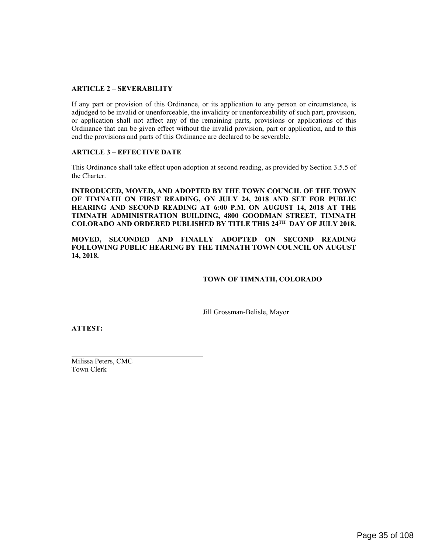# **ARTICLE 2 – SEVERABILITY**

If any part or provision of this Ordinance, or its application to any person or circumstance, is adjudged to be invalid or unenforceable, the invalidity or unenforceability of such part, provision, or application shall not affect any of the remaining parts, provisions or applications of this Ordinance that can be given effect without the invalid provision, part or application, and to this end the provisions and parts of this Ordinance are declared to be severable.

## **ARTICLE 3 – EFFECTIVE DATE**

This Ordinance shall take effect upon adoption at second reading, as provided by Section 3.5.5 of the Charter.

**INTRODUCED, MOVED, AND ADOPTED BY THE TOWN COUNCIL OF THE TOWN OF TIMNATH ON FIRST READING, ON JULY 24, 2018 AND SET FOR PUBLIC HEARING AND SECOND READING AT 6:00 P.M. ON AUGUST 14, 2018 AT THE TIMNATH ADMINISTRATION BUILDING, 4800 GOODMAN STREET, TIMNATH COLORADO AND ORDERED PUBLISHED BY TITLE THIS 24TH DAY OF JULY 2018.** 

**MOVED, SECONDED AND FINALLY ADOPTED ON SECOND READING FOLLOWING PUBLIC HEARING BY THE TIMNATH TOWN COUNCIL ON AUGUST 14, 2018.** 

## **TOWN OF TIMNATH, COLORADO**

Jill Grossman-Belisle, Mayor

**ATTEST:** 

 $\overline{a}$ 

Milissa Peters, CMC Town Clerk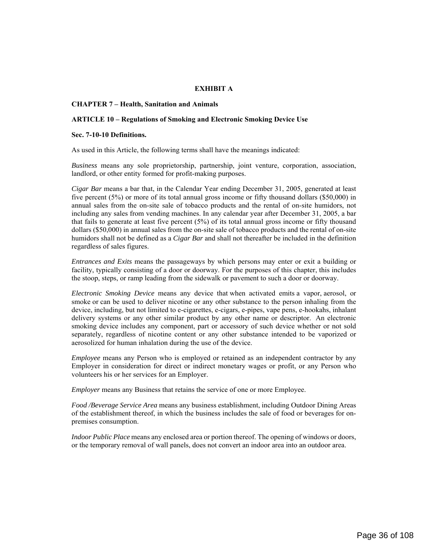## **EXHIBIT A**

### **CHAPTER 7 – Health, Sanitation and Animals**

### **ARTICLE 10 – Regulations of Smoking and Electronic Smoking Device Use**

#### **Sec. 7-10-10 Definitions.**

As used in this Article, the following terms shall have the meanings indicated:

*Business* means any sole proprietorship, partnership, joint venture, corporation, association, landlord, or other entity formed for profit-making purposes.

*Cigar Bar* means a bar that, in the Calendar Year ending December 31, 2005, generated at least five percent (5%) or more of its total annual gross income or fifty thousand dollars (\$50,000) in annual sales from the on-site sale of tobacco products and the rental of on-site humidors, not including any sales from vending machines. In any calendar year after December 31, 2005, a bar that fails to generate at least five percent (5%) of its total annual gross income or fifty thousand dollars (\$50,000) in annual sales from the on-site sale of tobacco products and the rental of on-site humidors shall not be defined as a *Cigar Bar* and shall not thereafter be included in the definition regardless of sales figures.

*Entrances and Exits* means the passageways by which persons may enter or exit a building or facility, typically consisting of a door or doorway. For the purposes of this chapter, this includes the stoop, steps, or ramp leading from the sidewalk or pavement to such a door or doorway.

*Electronic Smoking Device* means any device that when activated emits a vapor, aerosol, or smoke or can be used to deliver nicotine or any other substance to the person inhaling from the device, including, but not limited to e-cigarettes, e-cigars, e-pipes, vape pens, e-hookahs, inhalant delivery systems or any other similar product by any other name or descriptor. An electronic smoking device includes any component, part or accessory of such device whether or not sold separately, regardless of nicotine content or any other substance intended to be vaporized or aerosolized for human inhalation during the use of the device.

*Employee* means any Person who is employed or retained as an independent contractor by any Employer in consideration for direct or indirect monetary wages or profit, or any Person who volunteers his or her services for an Employer.

*Employer* means any Business that retains the service of one or more Employee.

*Food /Beverage Service Area* means any business establishment, including Outdoor Dining Areas of the establishment thereof, in which the business includes the sale of food or beverages for onpremises consumption.

*Indoor Public Place* means any enclosed area or portion thereof. The opening of windows or doors, or the temporary removal of wall panels, does not convert an indoor area into an outdoor area.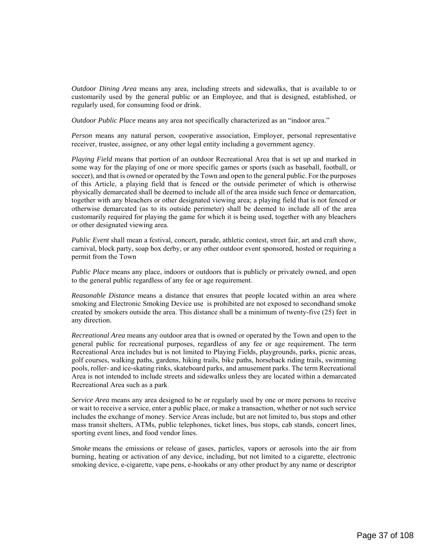*Outdoor Dining Area* means any area, including streets and sidewalks, that is available to or customarily used by the general public or an Employee, and that is designed, established, or regularly used, for consuming food or drink.

*Outdoor Public Place* means any area not specifically characterized as an "indoor area."

*Person* means any natural person, cooperative association, Employer, personal representative receiver, trustee, assignee, or any other legal entity including a government agency.

*Playing Field* means that portion of an outdoor Recreational Area that is set up and marked in some way for the playing of one or more specific games or sports (such as baseball, football, or soccer), and that is owned or operated by the Town and open to the general public. For the purposes of this Article, a playing field that is fenced or the outside perimeter of which is otherwise physically demarcated shall be deemed to include all of the area inside such fence or demarcation, together with any bleachers or other designated viewing area; a playing field that is not fenced or otherwise demarcated (as to its outside perimeter) shall be deemed to include all of the area customarily required for playing the game for which it is being used, together with any bleachers or other designated viewing area.

*Public Event* shall mean a festival, concert, parade, athletic contest, street fair, art and craft show, carnival, block party, soap box derby, or any other outdoor event sponsored, hosted or requiring a permit from the Town

*Public Place* means any place, indoors or outdoors that is publicly or privately owned, and open to the general public regardless of any fee or age requirement.

*Reasonable Distance* means a distance that ensures that people located within an area where smoking and Electronic Smoking Device use is prohibited are not exposed to secondhand smoke created by smokers outside the area. This distance shall be a minimum of twenty-five (25) feet in any direction.

*Recreational Area* means any outdoor area that is owned or operated by the Town and open to the general public for recreational purposes, regardless of any fee or age requirement. The term Recreational Area includes but is not limited to Playing Fields, playgrounds, parks, picnic areas, golf courses, walking paths, gardens, hiking trails, bike paths, horseback riding trails, swimming pools, roller- and ice-skating rinks, skateboard parks, and amusement parks. The term Recreational Area is not intended to include streets and sidewalks unless they are located within a demarcated Recreational Area such as a park.

*Service Area* means any area designed to be or regularly used by one or more persons to receive or wait to receive a service, enter a public place, or make a transaction, whether or not such service includes the exchange of money. Service Areas include, but are not limited to, bus stops and other mass transit shelters, ATMs, public telephones, ticket lines, bus stops, cab stands, concert lines, sporting event lines, and food vendor lines.

*Smoke* means the emissions or release of gases, particles, vapors or aerosols into the air from burning, heating or activation of any device, including, but not limited to a cigarette, electronic smoking device, e-cigarette, vape pens, e-hookahs or any other product by any name or descriptor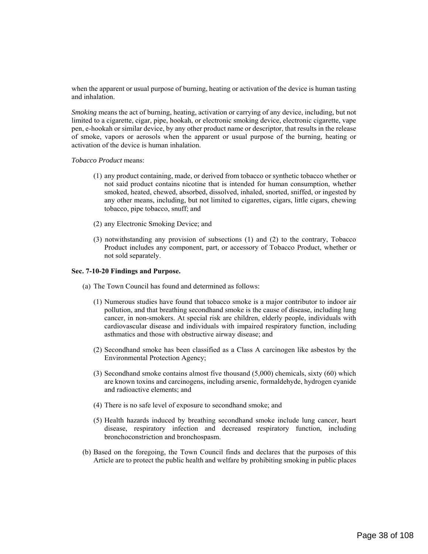when the apparent or usual purpose of burning, heating or activation of the device is human tasting and inhalation.

*Smoking* means the act of burning, heating, activation or carrying of any device, including, but not limited to a cigarette, cigar, pipe, hookah, or electronic smoking device, electronic cigarette, vape pen, e-hookah or similar device, by any other product name or descriptor, that results in the release of smoke, vapors or aerosols when the apparent or usual purpose of the burning, heating or activation of the device is human inhalation.

#### *Tobacco Product* means:

- (1) any product containing, made, or derived from tobacco or synthetic tobacco whether or not said product contains nicotine that is intended for human consumption, whether smoked, heated, chewed, absorbed, dissolved, inhaled, snorted, sniffed, or ingested by any other means, including, but not limited to cigarettes, cigars, little cigars, chewing tobacco, pipe tobacco, snuff; and
- (2) any Electronic Smoking Device; and
- (3) notwithstanding any provision of subsections (1) and (2) to the contrary, Tobacco Product includes any component, part, or accessory of Tobacco Product, whether or not sold separately.

#### **Sec. 7-10-20 Findings and Purpose.**

- (a) The Town Council has found and determined as follows:
	- (1) Numerous studies have found that tobacco smoke is a major contributor to indoor air pollution, and that breathing secondhand smoke is the cause of disease, including lung cancer, in non-smokers. At special risk are children, elderly people, individuals with cardiovascular disease and individuals with impaired respiratory function, including asthmatics and those with obstructive airway disease; and
	- (2) Secondhand smoke has been classified as a Class A carcinogen like asbestos by the Environmental Protection Agency;
	- (3) Secondhand smoke contains almost five thousand (5,000) chemicals, sixty (60) which are known toxins and carcinogens, including arsenic, formaldehyde, hydrogen cyanide and radioactive elements; and
	- (4) There is no safe level of exposure to secondhand smoke; and
	- (5) Health hazards induced by breathing secondhand smoke include lung cancer, heart disease, respiratory infection and decreased respiratory function, including bronchoconstriction and bronchospasm.
- (b) Based on the foregoing, the Town Council finds and declares that the purposes of this Article are to protect the public health and welfare by prohibiting smoking in public places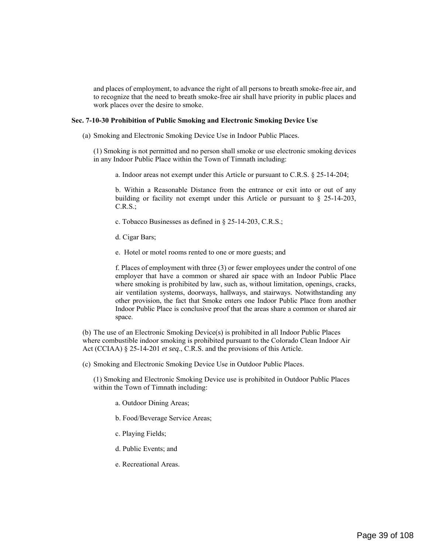and places of employment, to advance the right of all persons to breath smoke-free air, and to recognize that the need to breath smoke-free air shall have priority in public places and work places over the desire to smoke.

#### **Sec. 7-10-30 Prohibition of Public Smoking and Electronic Smoking Device Use**

(a) Smoking and Electronic Smoking Device Use in Indoor Public Places.

(1) Smoking is not permitted and no person shall smoke or use electronic smoking devices in any Indoor Public Place within the Town of Timnath including:

a. Indoor areas not exempt under this Article or pursuant to C.R.S. § 25-14-204;

 b. Within a Reasonable Distance from the entrance or exit into or out of any building or facility not exempt under this Article or pursuant to § 25-14-203,  $C.R.S.$ ;

- c. Tobacco Businesses as defined in § 25-14-203, C.R.S.;
- d. Cigar Bars;
- e. Hotel or motel rooms rented to one or more guests; and

f. Places of employment with three (3) or fewer employees under the control of one employer that have a common or shared air space with an Indoor Public Place where smoking is prohibited by law, such as, without limitation, openings, cracks, air ventilation systems, doorways, hallways, and stairways. Notwithstanding any other provision, the fact that Smoke enters one Indoor Public Place from another Indoor Public Place is conclusive proof that the areas share a common or shared air space.

(b) The use of an Electronic Smoking Device(s) is prohibited in all Indoor Public Places where combustible indoor smoking is prohibited pursuant to the Colorado Clean Indoor Air Act (CCIAA) § 25-14-201 *et seq*., C.R.S. and the provisions of this Article.

(c) Smoking and Electronic Smoking Device Use in Outdoor Public Places.

(1) Smoking and Electronic Smoking Device use is prohibited in Outdoor Public Places within the Town of Timnath including:

- a. Outdoor Dining Areas;
- b. Food/Beverage Service Areas;
- c. Playing Fields;
- d. Public Events; and
- e. Recreational Areas.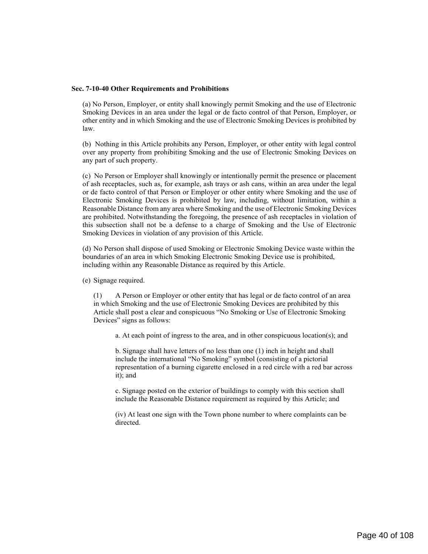### **Sec. 7-10-40 Other Requirements and Prohibitions**

(a) No Person, Employer, or entity shall knowingly permit Smoking and the use of Electronic Smoking Devices in an area under the legal or de facto control of that Person, Employer, or other entity and in which Smoking and the use of Electronic Smoking Devices is prohibited by law.

(b) Nothing in this Article prohibits any Person, Employer, or other entity with legal control over any property from prohibiting Smoking and the use of Electronic Smoking Devices on any part of such property.

(c) No Person or Employer shall knowingly or intentionally permit the presence or placement of ash receptacles, such as, for example, ash trays or ash cans, within an area under the legal or de facto control of that Person or Employer or other entity where Smoking and the use of Electronic Smoking Devices is prohibited by law, including, without limitation, within a Reasonable Distance from any area where Smoking and the use of Electronic Smoking Devices are prohibited. Notwithstanding the foregoing, the presence of ash receptacles in violation of this subsection shall not be a defense to a charge of Smoking and the Use of Electronic Smoking Devices in violation of any provision of this Article.

(d) No Person shall dispose of used Smoking or Electronic Smoking Device waste within the boundaries of an area in which Smoking Electronic Smoking Device use is prohibited, including within any Reasonable Distance as required by this Article.

(e) Signage required.

(1) A Person or Employer or other entity that has legal or de facto control of an area in which Smoking and the use of Electronic Smoking Devices are prohibited by this Article shall post a clear and conspicuous "No Smoking or Use of Electronic Smoking Devices" signs as follows:

a. At each point of ingress to the area, and in other conspicuous location(s); and

b. Signage shall have letters of no less than one (1) inch in height and shall include the international "No Smoking" symbol (consisting of a pictorial representation of a burning cigarette enclosed in a red circle with a red bar across it); and

c. Signage posted on the exterior of buildings to comply with this section shall include the Reasonable Distance requirement as required by this Article; and

(iv) At least one sign with the Town phone number to where complaints can be directed.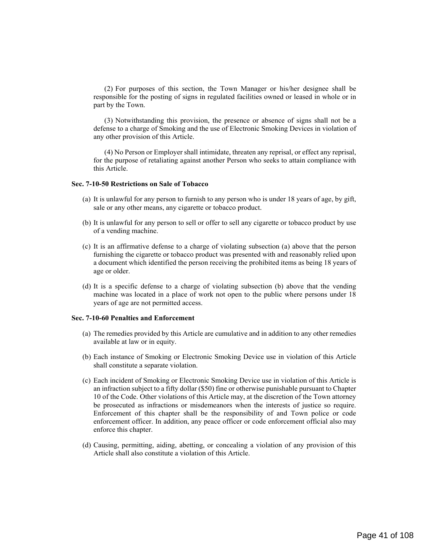(2) For purposes of this section, the Town Manager or his/her designee shall be responsible for the posting of signs in regulated facilities owned or leased in whole or in part by the Town.

 (3) Notwithstanding this provision, the presence or absence of signs shall not be a defense to a charge of Smoking and the use of Electronic Smoking Devices in violation of any other provision of this Article.

(4) No Person or Employer shall intimidate, threaten any reprisal, or effect any reprisal, for the purpose of retaliating against another Person who seeks to attain compliance with this Article.

### **Sec. 7-10-50 Restrictions on Sale of Tobacco**

- (a) It is unlawful for any person to furnish to any person who is under 18 years of age, by gift, sale or any other means, any cigarette or tobacco product.
- (b) It is unlawful for any person to sell or offer to sell any cigarette or tobacco product by use of a vending machine.
- (c) It is an affirmative defense to a charge of violating subsection (a) above that the person furnishing the cigarette or tobacco product was presented with and reasonably relied upon a document which identified the person receiving the prohibited items as being 18 years of age or older.
- (d) It is a specific defense to a charge of violating subsection (b) above that the vending machine was located in a place of work not open to the public where persons under 18 years of age are not permitted access.

#### **Sec. 7-10-60 Penalties and Enforcement**

- (a) The remedies provided by this Article are cumulative and in addition to any other remedies available at law or in equity.
- (b) Each instance of Smoking or Electronic Smoking Device use in violation of this Article shall constitute a separate violation.
- (c) Each incident of Smoking or Electronic Smoking Device use in violation of this Article is an infraction subject to a fifty dollar (\$50) fine or otherwise punishable pursuant to Chapter 10 of the Code. Other violations of this Article may, at the discretion of the Town attorney be prosecuted as infractions or misdemeanors when the interests of justice so require. Enforcement of this chapter shall be the responsibility of and Town police or code enforcement officer. In addition, any peace officer or code enforcement official also may enforce this chapter.
- (d) Causing, permitting, aiding, abetting, or concealing a violation of any provision of this Article shall also constitute a violation of this Article.